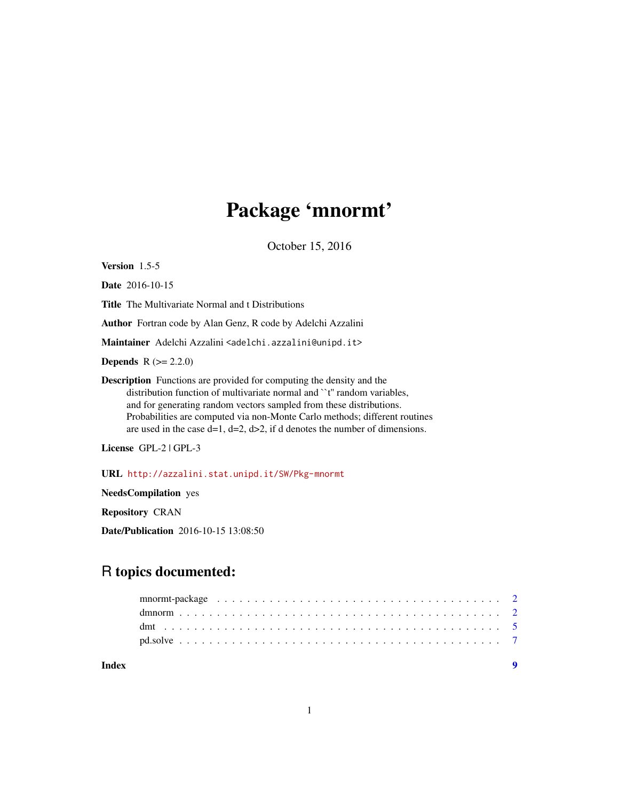## Package 'mnormt'

October 15, 2016

<span id="page-0-0"></span>Version 1.5-5

Date 2016-10-15

Title The Multivariate Normal and t Distributions

Author Fortran code by Alan Genz, R code by Adelchi Azzalini

Maintainer Adelchi Azzalini <adelchi.azzalini@unipd.it>

**Depends**  $R (= 2.2.0)$ 

Description Functions are provided for computing the density and the distribution function of multivariate normal and ``t'' random variables, and for generating random vectors sampled from these distributions. Probabilities are computed via non-Monte Carlo methods; different routines are used in the case  $d=1$ ,  $d=2$ ,  $d>2$ , if d denotes the number of dimensions.

License GPL-2 | GPL-3

URL <http://azzalini.stat.unipd.it/SW/Pkg-mnormt>

NeedsCompilation yes

Repository CRAN

Date/Publication 2016-10-15 13:08:50

### R topics documented:

| Index |  |
|-------|--|
|       |  |
|       |  |
|       |  |
|       |  |

1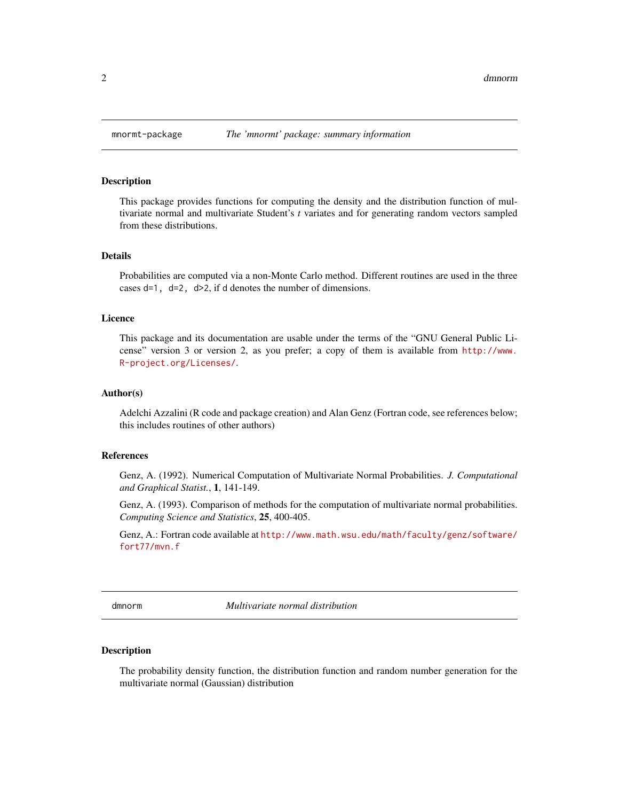#### **Description**

This package provides functions for computing the density and the distribution function of multivariate normal and multivariate Student's *t* variates and for generating random vectors sampled from these distributions.

#### Details

Probabilities are computed via a non-Monte Carlo method. Different routines are used in the three cases  $d=1$ ,  $d=2$ ,  $d>2$ , if d denotes the number of dimensions.

#### Licence

This package and its documentation are usable under the terms of the "GNU General Public License" version 3 or version 2, as you prefer; a copy of them is available from [http://www.](http://www.R-project.org/Licenses/) [R-project.org/Licenses/](http://www.R-project.org/Licenses/).

#### Author(s)

Adelchi Azzalini (R code and package creation) and Alan Genz (Fortran code, see references below; this includes routines of other authors)

#### References

Genz, A. (1992). Numerical Computation of Multivariate Normal Probabilities. *J. Computational and Graphical Statist.*, 1, 141-149.

Genz, A. (1993). Comparison of methods for the computation of multivariate normal probabilities. *Computing Science and Statistics*, 25, 400-405.

Genz, A.: Fortran code available at [http://www.math.wsu.edu/math/faculty/genz/software/](http://www.math.wsu.edu/math/faculty/genz/software/fort77/mvn.f) [fort77/mvn.f](http://www.math.wsu.edu/math/faculty/genz/software/fort77/mvn.f)

dmnorm *Multivariate normal distribution*

#### <span id="page-1-1"></span>**Description**

The probability density function, the distribution function and random number generation for the multivariate normal (Gaussian) distribution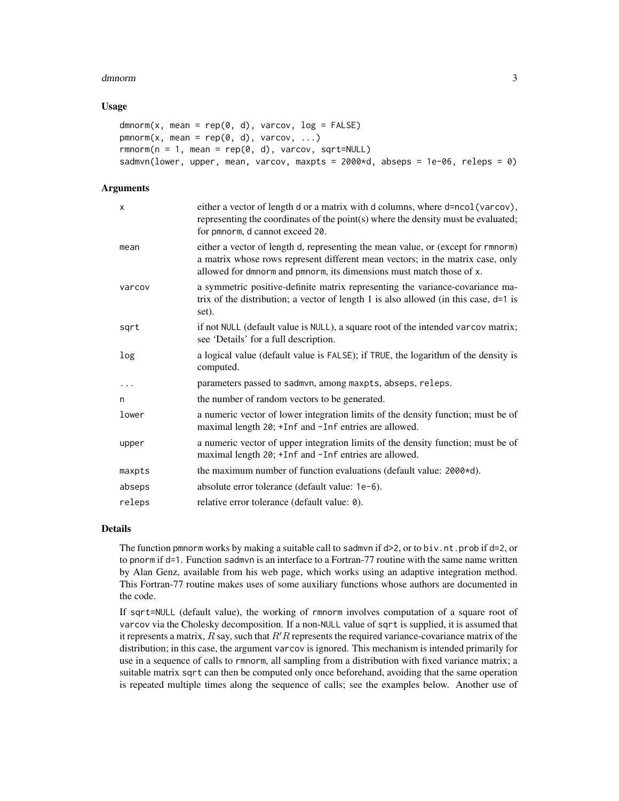#### dmnorm 3

#### Usage

```
dmnorm(x, mean = rep(0, d), varcov, log = FALSE)
pmnorm(x, mean = rep(0, d), varcov, ...)
rmmorm(n = 1, mean = rep(0, d), varcov, sqrt=NULL)sadmvn(lower, upper, mean, varcov, maxpts = 2000*d, abseps = 1e-06, releps = 0)
```
#### **Arguments**

| X        | either a vector of length d or a matrix with d columns, where d=ncol(varcov),<br>representing the coordinates of the point(s) where the density must be evaluated;<br>for pmnorm, d cannot exceed 20.                                      |
|----------|--------------------------------------------------------------------------------------------------------------------------------------------------------------------------------------------------------------------------------------------|
| mean     | either a vector of length d, representing the mean value, or (except for rmnorm)<br>a matrix whose rows represent different mean vectors; in the matrix case, only<br>allowed for dmnorm and pmnorm, its dimensions must match those of x. |
| varcov   | a symmetric positive-definite matrix representing the variance-covariance ma-<br>trix of the distribution; a vector of length 1 is also allowed (in this case, $d=1$ is<br>set).                                                           |
| sqrt     | if not NULL (default value is NULL), a square root of the intended varcov matrix;<br>see 'Details' for a full description.                                                                                                                 |
| log      | a logical value (default value is FALSE); if TRUE, the logarithm of the density is<br>computed.                                                                                                                                            |
| $\ddots$ | parameters passed to sadmvn, among maxpts, abseps, releps.                                                                                                                                                                                 |
| n        | the number of random vectors to be generated.                                                                                                                                                                                              |
| lower    | a numeric vector of lower integration limits of the density function; must be of<br>maximal length 20; +Inf and -Inf entries are allowed.                                                                                                  |
| upper    | a numeric vector of upper integration limits of the density function; must be of<br>maximal length 20; +Inf and -Inf entries are allowed.                                                                                                  |
| maxpts   | the maximum number of function evaluations (default value: 2000*d).                                                                                                                                                                        |
| abseps   | absolute error tolerance (default value: 1e-6).                                                                                                                                                                                            |
| releps   | relative error tolerance (default value: 0).                                                                                                                                                                                               |

#### Details

The function pmnorm works by making a suitable call to sadmvn if  $d>2$ , or to biv.nt.prob if  $d=2$ , or to pnorm if d=1. Function sadmvn is an interface to a Fortran-77 routine with the same name written by Alan Genz, available from his web page, which works using an adaptive integration method. This Fortran-77 routine makes uses of some auxiliary functions whose authors are documented in the code.

If sqrt=NULL (default value), the working of rmnorm involves computation of a square root of varcov via the Cholesky decomposition. If a non-NULL value of sqrt is supplied, it is assumed that it represents a matrix,  $R$  say, such that  $R'R$  represents the required variance-covariance matrix of the distribution; in this case, the argument varcov is ignored. This mechanism is intended primarily for use in a sequence of calls to rmnorm, all sampling from a distribution with fixed variance matrix; a suitable matrix sqrt can then be computed only once beforehand, avoiding that the same operation is repeated multiple times along the sequence of calls; see the examples below. Another use of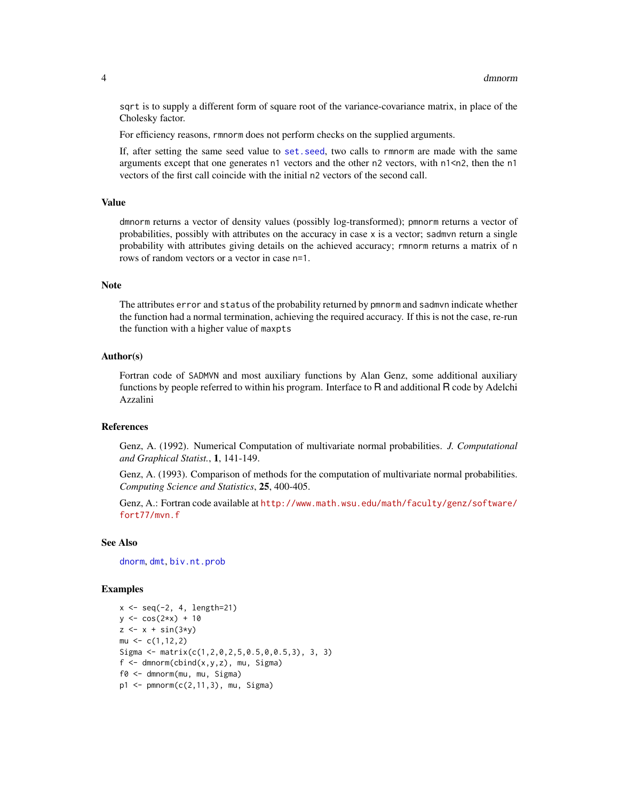sqrt is to supply a different form of square root of the variance-covariance matrix, in place of the Cholesky factor.

For efficiency reasons, rmnorm does not perform checks on the supplied arguments.

If, after setting the same seed value to [set.seed](#page-0-0), two calls to rmnorm are made with the same arguments except that one generates n1 vectors and the other n2 vectors, with n1<n2, then the n1 vectors of the first call coincide with the initial n2 vectors of the second call.

#### Value

dmnorm returns a vector of density values (possibly log-transformed); pmnorm returns a vector of probabilities, possibly with attributes on the accuracy in case x is a vector; sadmvn return a single probability with attributes giving details on the achieved accuracy; rmnorm returns a matrix of n rows of random vectors or a vector in case n=1.

#### Note

The attributes error and status of the probability returned by pmnorm and sadmvn indicate whether the function had a normal termination, achieving the required accuracy. If this is not the case, re-run the function with a higher value of maxpts

#### Author(s)

Fortran code of SADMVN and most auxiliary functions by Alan Genz, some additional auxiliary functions by people referred to within his program. Interface to R and additional R code by Adelchi Azzalini

#### References

Genz, A. (1992). Numerical Computation of multivariate normal probabilities. *J. Computational and Graphical Statist.*, 1, 141-149.

Genz, A. (1993). Comparison of methods for the computation of multivariate normal probabilities. *Computing Science and Statistics*, 25, 400-405.

Genz, A.: Fortran code available at [http://www.math.wsu.edu/math/faculty/genz/software/](http://www.math.wsu.edu/math/faculty/genz/software/fort77/mvn.f) [fort77/mvn.f](http://www.math.wsu.edu/math/faculty/genz/software/fort77/mvn.f)

#### See Also

[dnorm](#page-0-0), [dmt](#page-4-1), [biv.nt.prob](#page-4-2)

#### Examples

```
x \leq -\text{seq}(-2, 4, \text{length}=21)y \le -\cos(2*x) + 10z \leq x + \sin(3*y)mu \leftarrow c(1, 12, 2)Sigma \leq matrix(c(1,2,0,2,5,0.5,0,0.5,3), 3, 3)
f \leftarrow \text{dmnorm}(\text{cbind}(x,y,z), \text{mu}, \text{Sigma})f0 <- dmnorm(mu, mu, Sigma)
p1 <- pmnorm(c(2,11,3), mu, Sigma)
```
<span id="page-3-0"></span>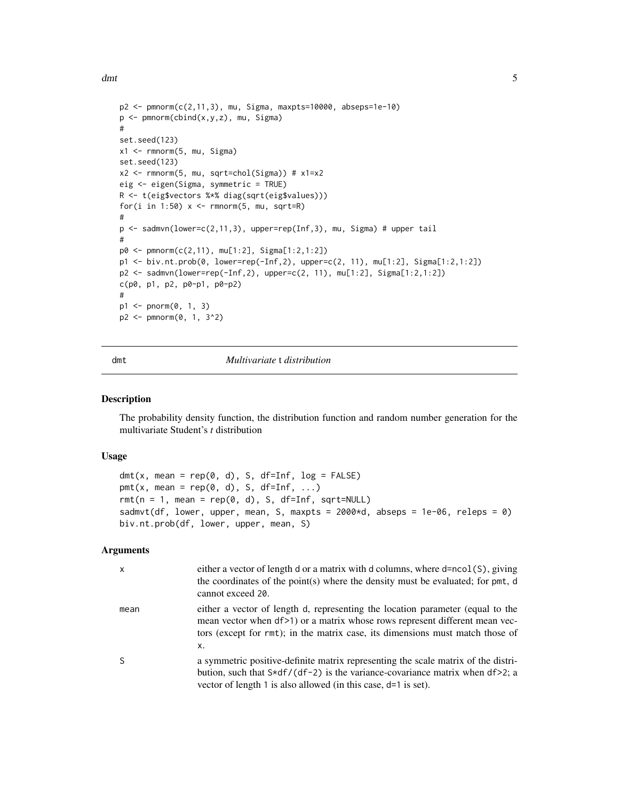<span id="page-4-0"></span>dmt 5

```
p2 <- pmnorm(c(2,11,3), mu, Sigma, maxpts=10000, abseps=1e-10)
p <- pmnorm(cbind(x,y,z), mu, Sigma)
#
set.seed(123)
x1 <- rmnorm(5, mu, Sigma)
set.seed(123)
x2 \leq -rmnorm(5, mu, sqrt=chol(Sigma)) # x1=x2eig <- eigen(Sigma, symmetric = TRUE)
R <- t(eig$vectors %*% diag(sqrt(eig$values)))
for(i in 1:50) x \le r rmnorm(5, mu, sqrt=R)
#
p <- sadmvn(lower=c(2,11,3), upper=rep(Inf,3), mu, Sigma) # upper tail
#
p0 <- pmnorm(c(2,11), mu[1:2], Sigma[1:2,1:2])
p1 <- biv.nt.prob(0, lower=rep(-Inf,2), upper=c(2, 11), mu[1:2], Sigma[1:2,1:2])
p2 <- sadmvn(lower=rep(-Inf,2), upper=c(2, 11), mu[1:2], Sigma[1:2,1:2])
c(p0, p1, p2, p0-p1, p0-p2)
#
p1 <- pnorm(0, 1, 3)
p2 <- pmnorm(0, 1, 3^2)
```
<span id="page-4-1"></span>

#### dmt *Multivariate* t *distribution*

#### <span id="page-4-2"></span>Description

The probability density function, the distribution function and random number generation for the multivariate Student's *t* distribution

#### Usage

```
dmt(x, mean = rep(0, d), S, df=Inf, log = FALSE)pmt(x, mean = rep(0, d), S, df=Inf, ...)
rmt(n = 1, mean = rep(0, d), S, df=Inf, sqrt=NULL)sadmvt(df, lower, upper, mean, S, maxpts = 2000 \star d, abseps = 1e-06, releps = 0)
biv.nt.prob(df, lower, upper, mean, S)
```
#### Arguments

| $\mathsf{x}$ | either a vector of length d or a matrix with d columns, where d=ncol(S), giving<br>the coordinates of the point(s) where the density must be evaluated; for pmt, d<br>cannot exceed 20.                                                              |
|--------------|------------------------------------------------------------------------------------------------------------------------------------------------------------------------------------------------------------------------------------------------------|
| mean         | either a vector of length d, representing the location parameter (equal to the<br>mean vector when df>1) or a matrix whose rows represent different mean vec-<br>tors (except for rmt); in the matrix case, its dimensions must match those of<br>х. |
| S            | a symmetric positive-definite matrix representing the scale matrix of the distri-<br>bution, such that $S*df/(df-2)$ is the variance-covariance matrix when $df>2$ ; a<br>vector of length 1 is also allowed (in this case, d=1 is set).             |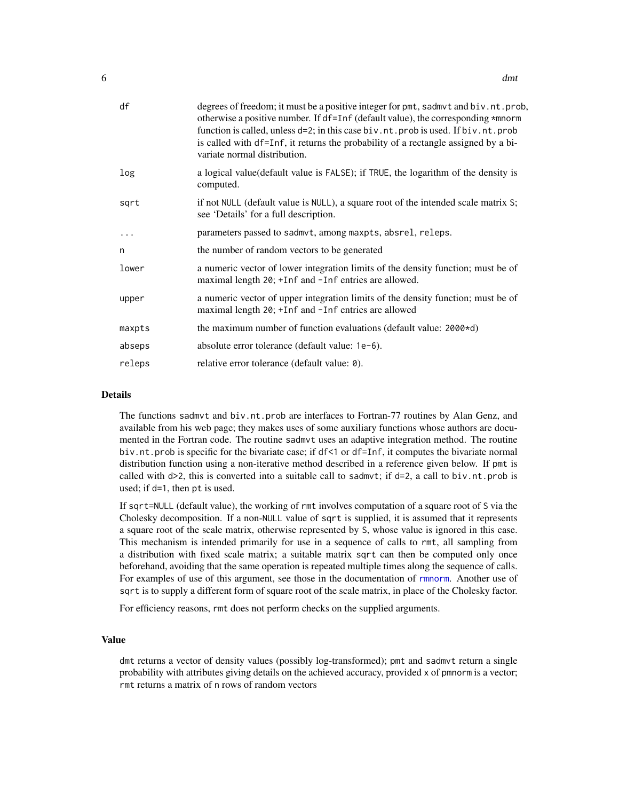<span id="page-5-0"></span>

| df       | degrees of freedom; it must be a positive integer for pmt, sadmvt and biv.nt.prob,<br>otherwise a positive number. If df=Inf (default value), the corresponding *mnorm<br>function is called, unless d=2; in this case biv.nt.prob is used. If biv.nt.prob<br>is called with df=Inf, it returns the probability of a rectangle assigned by a bi-<br>variate normal distribution. |
|----------|----------------------------------------------------------------------------------------------------------------------------------------------------------------------------------------------------------------------------------------------------------------------------------------------------------------------------------------------------------------------------------|
| log      | a logical value (default value is FALSE); if TRUE, the logarithm of the density is<br>computed.                                                                                                                                                                                                                                                                                  |
| sqrt     | if not NULL (default value is NULL), a square root of the intended scale matrix S;<br>see 'Details' for a full description.                                                                                                                                                                                                                                                      |
| $\cdots$ | parameters passed to sadmvt, among maxpts, absrel, releps.                                                                                                                                                                                                                                                                                                                       |
| n        | the number of random vectors to be generated                                                                                                                                                                                                                                                                                                                                     |
| lower    | a numeric vector of lower integration limits of the density function; must be of<br>maximal length 20; +Inf and -Inf entries are allowed.                                                                                                                                                                                                                                        |
| upper    | a numeric vector of upper integration limits of the density function; must be of<br>maximal length 20; +Inf and -Inf entries are allowed                                                                                                                                                                                                                                         |
| maxpts   | the maximum number of function evaluations (default value: $2000 \times d$ )                                                                                                                                                                                                                                                                                                     |
| abseps   | absolute error tolerance (default value: 1e-6).                                                                                                                                                                                                                                                                                                                                  |
| releps   | relative error tolerance (default value: 0).                                                                                                                                                                                                                                                                                                                                     |

#### Details

The functions sadmvt and biv.nt.prob are interfaces to Fortran-77 routines by Alan Genz, and available from his web page; they makes uses of some auxiliary functions whose authors are documented in the Fortran code. The routine sadmvt uses an adaptive integration method. The routine biv.nt.prob is specific for the bivariate case; if df<1 or df=Inf, it computes the bivariate normal distribution function using a non-iterative method described in a reference given below. If pmt is called with  $d>2$ , this is converted into a suitable call to sadmvt; if  $d=2$ , a call to biv.nt.prob is used; if d=1, then pt is used.

If sqrt=NULL (default value), the working of rmt involves computation of a square root of S via the Cholesky decomposition. If a non-NULL value of sqrt is supplied, it is assumed that it represents a square root of the scale matrix, otherwise represented by S, whose value is ignored in this case. This mechanism is intended primarily for use in a sequence of calls to rmt, all sampling from a distribution with fixed scale matrix; a suitable matrix sqrt can then be computed only once beforehand, avoiding that the same operation is repeated multiple times along the sequence of calls. For examples of use of this argument, see those in the documentation of [rmnorm](#page-1-1). Another use of sqrt is to supply a different form of square root of the scale matrix, in place of the Cholesky factor.

For efficiency reasons, rmt does not perform checks on the supplied arguments.

#### Value

dmt returns a vector of density values (possibly log-transformed); pmt and sadmvt return a single probability with attributes giving details on the achieved accuracy, provided x of pmnorm is a vector; rmt returns a matrix of n rows of random vectors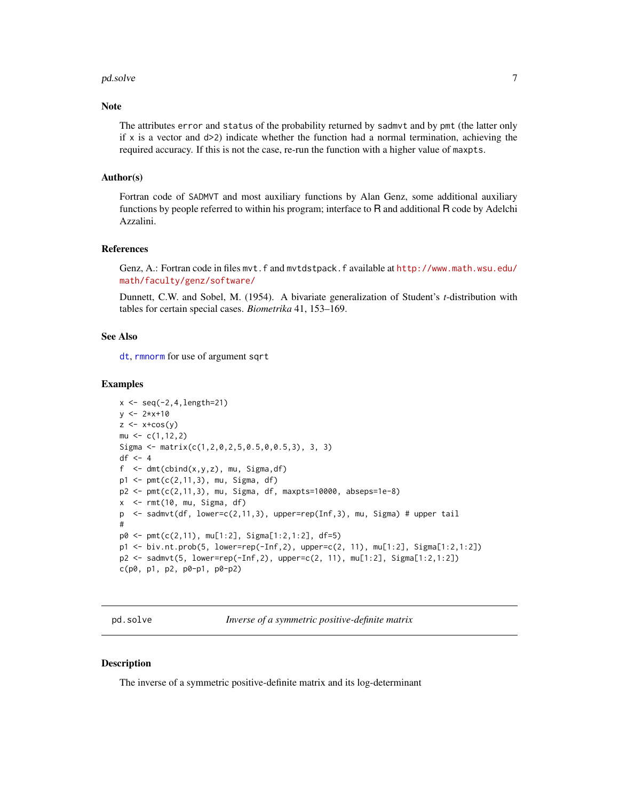#### <span id="page-6-0"></span>pd.solve 7

#### Note

The attributes error and status of the probability returned by sadmvt and by pmt (the latter only if x is a vector and  $d>2$ ) indicate whether the function had a normal termination, achieving the required accuracy. If this is not the case, re-run the function with a higher value of maxpts.

#### Author(s)

Fortran code of SADMVT and most auxiliary functions by Alan Genz, some additional auxiliary functions by people referred to within his program; interface to R and additional R code by Adelchi Azzalini.

#### References

Genz, A.: Fortran code in files mvt.f and mvtdstpack.f available at [http://www.math.wsu.edu/](http://www.math.wsu.edu/math/faculty/genz/software/) [math/faculty/genz/software/](http://www.math.wsu.edu/math/faculty/genz/software/)

Dunnett, C.W. and Sobel, M. (1954). A bivariate generalization of Student's *t*-distribution with tables for certain special cases. *Biometrika* 41, 153–169.

#### See Also

[dt](#page-0-0), [rmnorm](#page-1-1) for use of argument sqrt

#### Examples

```
x \leq -\text{seq}(-2, 4, \text{length}=21)y \le -2*x+10z \leftarrow x + cos(y)mu < -c(1, 12, 2)Sigma <- matrix(c(1,2,0,2,5,0.5,0,0.5,3), 3, 3)
df \leftarrow 4f \leq dmt(cbind(x,y,z), mu, Sigma,df)
p1 <- pmt(c(2,11,3), mu, Sigma, df)
p2 <- pmt(c(2,11,3), mu, Sigma, df, maxpts=10000, abseps=1e-8)
x \le -rmt(10, mu, Sigma, df)p <- sadmvt(df, lower=c(2,11,3), upper=rep(Inf,3), mu, Sigma) # upper tail
#
p0 <- pmt(c(2,11), mu[1:2], Sigma[1:2,1:2], df=5)
p1 <- biv.nt.prob(5, lower=rep(-Inf,2), upper=c(2, 11), mu[1:2], Sigma[1:2,1:2])
p2 <- sadmvt(5, lower=rep(-Inf,2), upper=c(2, 11), mu[1:2], Sigma[1:2,1:2])
c(p0, p1, p2, p0-p1, p0-p2)
```
pd.solve *Inverse of a symmetric positive-definite matrix*

#### **Description**

The inverse of a symmetric positive-definite matrix and its log-determinant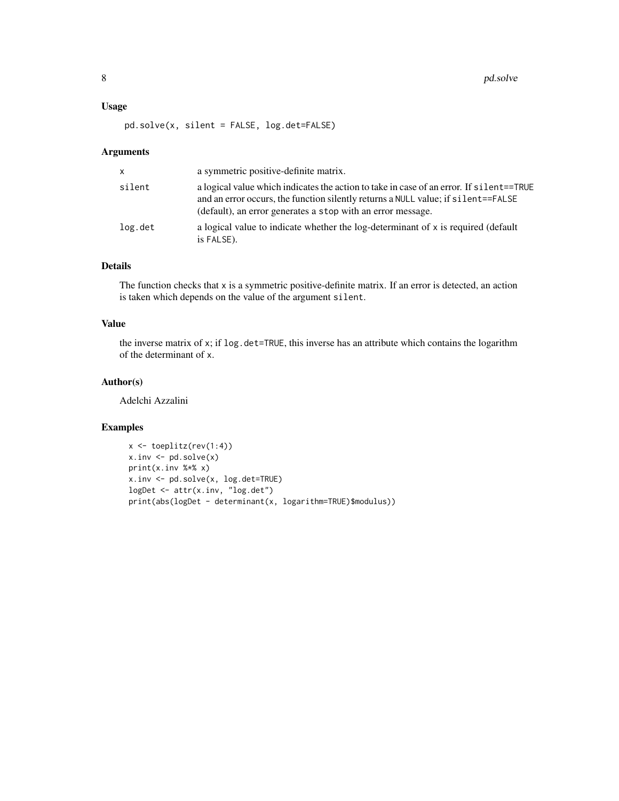#### Usage

pd.solve(x, silent = FALSE, log.det=FALSE)

#### Arguments

| $\mathsf{x}$ | a symmetric positive-definite matrix.                                                                                                                                                                                                       |
|--------------|---------------------------------------------------------------------------------------------------------------------------------------------------------------------------------------------------------------------------------------------|
| silent       | a logical value which indicates the action to take in case of an error. If silent==TRUE<br>and an error occurs, the function silently returns a NULL value; if silent==FALSE<br>(default), an error generates a stop with an error message. |
| log.det      | a logical value to indicate whether the log-determinant of x is required (default<br>is FALSE).                                                                                                                                             |

#### Details

The function checks that x is a symmetric positive-definite matrix. If an error is detected, an action is taken which depends on the value of the argument silent.

#### Value

the inverse matrix of x; if log.det=TRUE, this inverse has an attribute which contains the logarithm of the determinant of x.

#### Author(s)

Adelchi Azzalini

#### Examples

```
x \leftarrow \text{toe}(r \cdot (1:4))x.inv \leftarrow pd.solve(x)print(x.inv %*% x)
x.inv <- pd.solve(x, log.det=TRUE)
logDet <- attr(x.inv, "log.det")
print(abs(logDet - determinant(x, logarithm=TRUE)$modulus))
```